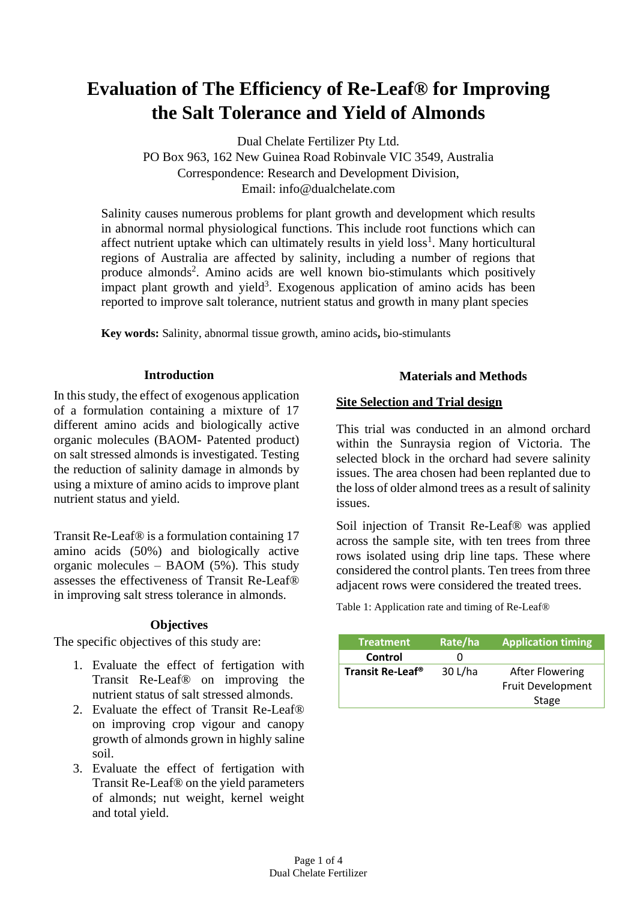# **Evaluation of The Efficiency of Re-Leaf® for Improving the Salt Tolerance and Yield of Almonds**

Dual Chelate Fertilizer Pty Ltd. PO Box 963, 162 New Guinea Road Robinvale VIC 3549, Australia Correspondence: Research and Development Division, Email: info@dualchelate.com

Salinity causes numerous problems for plant growth and development which results in abnormal normal physiological functions. This include root functions which can affect nutrient uptake which can ultimately results in yield  $loss<sup>1</sup>$ . Many horticultural regions of Australia are affected by salinity, including a number of regions that produce almonds<sup>2</sup>. Amino acids are well known bio-stimulants which positively impact plant growth and yield<sup>3</sup>. Exogenous application of amino acids has been reported to improve salt tolerance, nutrient status and growth in many plant species

**Key words:** Salinity, abnormal tissue growth, amino acids**,** bio-stimulants

# **Introduction**

In this study, the effect of exogenous application of a formulation containing a mixture of 17 different amino acids and biologically active organic molecules (BAOM- Patented product) on salt stressed almonds is investigated. Testing the reduction of salinity damage in almonds by using a mixture of amino acids to improve plant nutrient status and yield.

Transit Re-Leaf® is a formulation containing 17 amino acids (50%) and biologically active organic molecules – BAOM (5%). This study assesses the effectiveness of Transit Re-Leaf® in improving salt stress tolerance in almonds.

# **Objectives**

The specific objectives of this study are:

- 1. Evaluate the effect of fertigation with Transit Re-Leaf® on improving the nutrient status of salt stressed almonds.
- 2. Evaluate the effect of Transit Re-Leaf® on improving crop vigour and canopy growth of almonds grown in highly saline soil.
- 3. Evaluate the effect of fertigation with Transit Re-Leaf® on the yield parameters of almonds; nut weight, kernel weight and total yield.

# **Materials and Methods**

# **Site Selection and Trial design**

This trial was conducted in an almond orchard within the Sunraysia region of Victoria. The selected block in the orchard had severe salinity issues. The area chosen had been replanted due to the loss of older almond trees as a result of salinity issues.

Soil injection of Transit Re-Leaf® was applied across the sample site, with ten trees from three rows isolated using drip line taps. These where considered the control plants. Ten trees from three adjacent rows were considered the treated trees.

Table 1: Application rate and timing of Re-Leaf®

| <b>Treatment</b>             | Rate/ha | <b>Application timing</b> |
|------------------------------|---------|---------------------------|
| Control                      |         |                           |
| Transit Re-Leaf <sup>®</sup> | 30 L/ha | <b>After Flowering</b>    |
|                              |         | Fruit Development         |
|                              |         | Stage                     |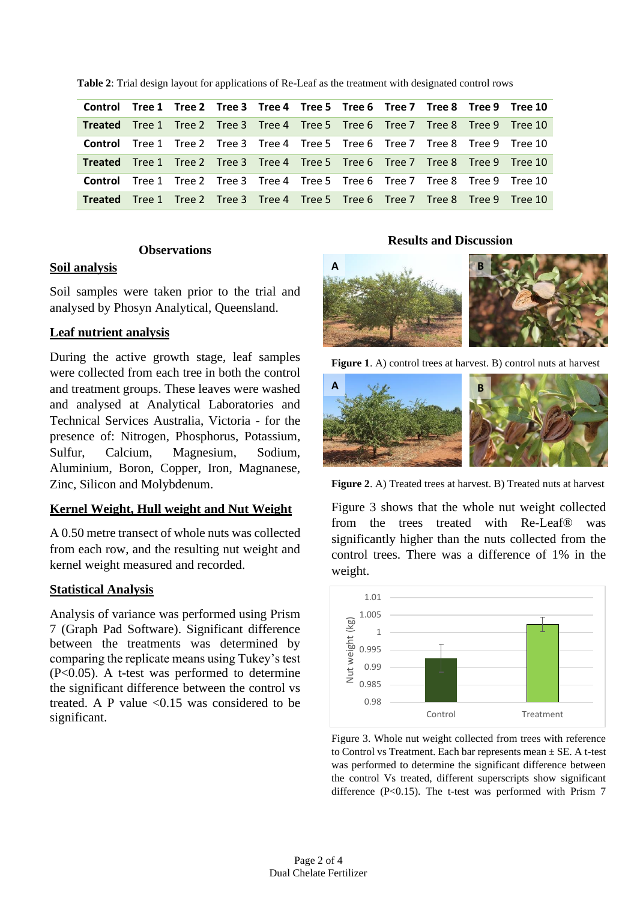|                                                                                       |  |  |  |  | Control Tree 1 Tree 2 Tree 3 Tree 4 Tree 5 Tree 6 Tree 7 Tree 8 Tree 9 Tree 10        |
|---------------------------------------------------------------------------------------|--|--|--|--|---------------------------------------------------------------------------------------|
| <b>Treated</b> Tree 1 Tree 2 Tree 3 Tree 4 Tree 5 Tree 6 Tree 7 Tree 8 Tree 9 Tree 10 |  |  |  |  |                                                                                       |
|                                                                                       |  |  |  |  | <b>Control</b> Tree 1 Tree 2 Tree 3 Tree 4 Tree 5 Tree 6 Tree 7 Tree 8 Tree 9 Tree 10 |
| <b>Treated</b> Tree 1 Tree 2 Tree 3 Tree 4 Tree 5 Tree 6 Tree 7 Tree 8 Tree 9 Tree 10 |  |  |  |  |                                                                                       |
|                                                                                       |  |  |  |  | <b>Control</b> Tree 1 Tree 2 Tree 3 Tree 4 Tree 5 Tree 6 Tree 7 Tree 8 Tree 9 Tree 10 |
| <b>Treated</b> Tree 1 Tree 2 Tree 3 Tree 4 Tree 5 Tree 6 Tree 7 Tree 8 Tree 9 Tree 10 |  |  |  |  |                                                                                       |

**Table 2**: Trial design layout for applications of Re-Leaf as the treatment with designated control rows

#### **Observations**

## **Soil analysis**

Soil samples were taken prior to the trial and analysed by Phosyn Analytical, Queensland.

## **Leaf nutrient analysis**

During the active growth stage, leaf samples were collected from each tree in both the control and treatment groups. These leaves were washed and analysed at Analytical Laboratories and Technical Services Australia, Victoria - for the presence of: Nitrogen, Phosphorus, Potassium, Sulfur, Calcium, Magnesium, Sodium, Aluminium, Boron, Copper, Iron, Magnanese, Zinc, Silicon and Molybdenum.

## **Kernel Weight, Hull weight and Nut Weight**

A 0.50 metre transect of whole nuts was collected from each row, and the resulting nut weight and kernel weight measured and recorded.

## **Statistical Analysis**

Analysis of variance was performed using Prism 7 (Graph Pad Software). Significant difference between the treatments was determined by comparing the replicate means using Tukey's test (P<0.05). A t-test was performed to determine the significant difference between the control vs treated. A P value  $\leq 0.15$  was considered to be significant.

#### **Results and Discussion**









Figure 3 shows that the whole nut weight collected from the trees treated with Re-Leaf® was significantly higher than the nuts collected from the control trees. There was a difference of 1% in the weight.



Figure 3. Whole nut weight collected from trees with reference to Control vs Treatment. Each bar represents mean ± SE. A t-test was performed to determine the significant difference between the control Vs treated, different superscripts show significant difference  $(P<0.15)$ . The t-test was performed with Prism 7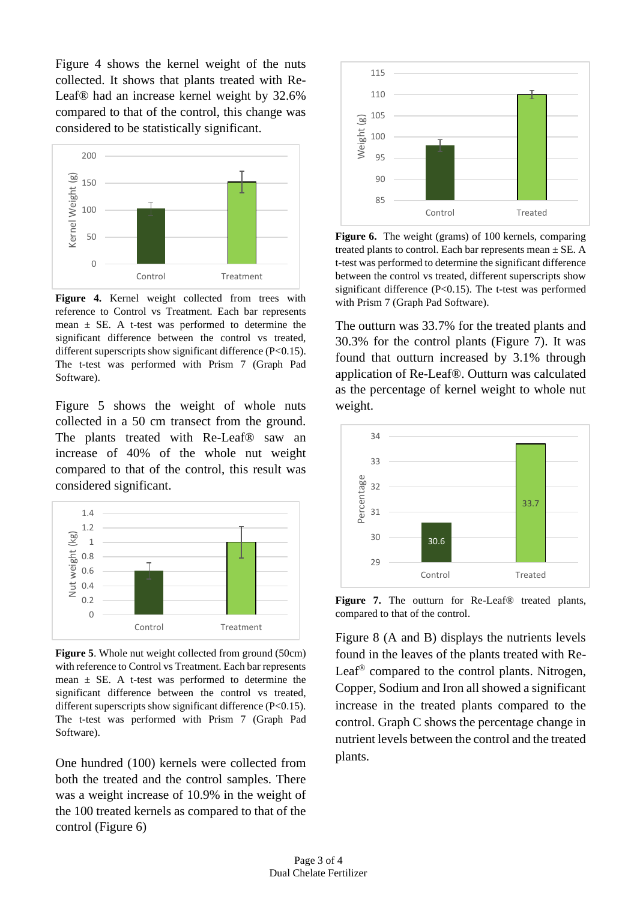Figure 4 shows the kernel weight of the nuts collected. It shows that plants treated with Re-Leaf® had an increase kernel weight by 32.6% compared to that of the control, this change was considered to be statistically significant.



**Figure 4.** Kernel weight collected from trees with reference to Control vs Treatment. Each bar represents mean  $\pm$  SE. A t-test was performed to determine the significant difference between the control vs treated, different superscripts show significant difference (P<0.15). The t-test was performed with Prism 7 (Graph Pad Software).

Figure 5 shows the weight of whole nuts collected in a 50 cm transect from the ground. The plants treated with Re-Leaf® saw an increase of 40% of the whole nut weight compared to that of the control, this result was considered significant.



**Figure 5**. Whole nut weight collected from ground (50cm) with reference to Control vs Treatment. Each bar represents mean  $\pm$  SE. A t-test was performed to determine the significant difference between the control vs treated, different superscripts show significant difference (P<0.15). The t-test was performed with Prism 7 (Graph Pad Software).

One hundred (100) kernels were collected from both the treated and the control samples. There was a weight increase of 10.9% in the weight of the 100 treated kernels as compared to that of the control (Figure 6)



**Figure 6.** The weight (grams) of 100 kernels, comparing treated plants to control. Each bar represents mean  $\pm$  SE. A t-test was performed to determine the significant difference between the control vs treated, different superscripts show significant difference (P<0.15). The t-test was performed with Prism 7 (Graph Pad Software).

The outturn was 33.7% for the treated plants and 30.3% for the control plants (Figure 7). It was found that outturn increased by 3.1% through application of Re-Leaf®. Outturn was calculated as the percentage of kernel weight to whole nut weight.



**Figure 7.** The outturn for Re-Leaf® treated plants, compared to that of the control.

Figure 8 (A and B) displays the nutrients levels found in the leaves of the plants treated with Re-Leaf® compared to the control plants. Nitrogen, Copper, Sodium and Iron all showed a significant increase in the treated plants compared to the control. Graph C shows the percentage change in nutrient levels between the control and the treated plants.